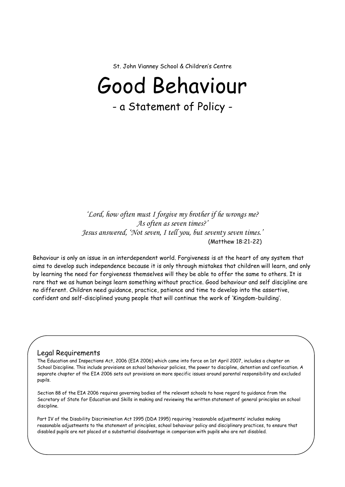St. John Vianney School & Children's Centre

# Good Behaviour

- a Statement of Policy -

*'Lord, how often must I forgive my brother if he wrongs me? As often as seven times?' Jesus answered, 'Not seven, I tell you, but seventy seven times.'* (Matthew 18:21-22)

Behaviour is only an issue in an interdependent world. Forgiveness is at the heart of any system that aims to develop such independence because it is only through mistakes that children will learn, and only by learning the need for forgiveness themselves will they be able to offer the same to others. It is rare that we as human beings learn something without practice. Good behaviour and self discipline are no different. Children need guidance, practice, patience and time to develop into the assertive, confident and self-disciplined young people that will continue the work of 'Kingdom-building'.

#### Legal Requirements

The Education and Inspections Act, 2006 (EIA 2006) which came into force on 1st April 2007, includes a chapter on School Discipline. This include provisions on school behaviour policies, the power to discipline, detention and confiscation. A separate chapter of the EIA 2006 sets out provisions on more specific issues around parental responsibility and excluded pupils.

Section 88 of the EIA 2006 requires governing bodies of the relevant schools to have regard to guidance from the Secretary of State for Education and Skills in making and reviewing the written statement of general principles on school discipline.

Part IV of the Disability Discrimination Act 1995 (DDA 1995) requiring 'reasonable adjustments' includes making reasonable adjustments to the statement of principles, school behaviour policy and disciplinary practices, to ensure that disabled pupils are not placed at a substantial disadvantage in comparison with pupils who are not disabled.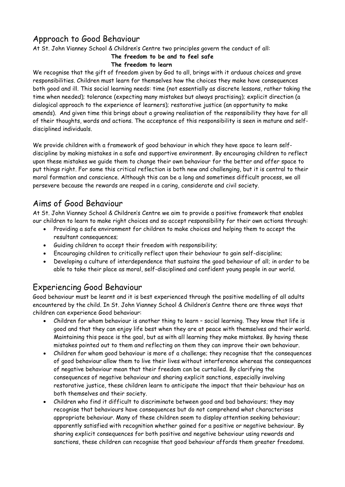## Approach to Good Behaviour

At St. John Vianney School & Children's Centre two principles govern the conduct of all:

#### **The freedom to be and to feel safe The freedom to learn**

We recognise that the gift of freedom given by God to all, brings with it arduous choices and grave responsibilities. Children must learn for themselves how the choices they make have consequences both good and ill. This social learning needs: time (not essentially as discrete lessons, rather taking the time when needed); tolerance (expecting many mistakes but always practising); explicit direction (a dialogical approach to the experience of learners); restorative justice (an opportunity to make amends). And given time this brings about a growing realisation of the responsibility they have for all of their thoughts, words and actions. The acceptance of this responsibility is seen in mature and selfdisciplined individuals.

We provide children with a framework of good behaviour in which they have space to learn selfdiscipline by making mistakes in a safe and supportive environment. By encouraging children to reflect upon these mistakes we guide them to change their own behaviour for the better and offer space to put things right. For some this critical reflection is both new and challenging, but it is central to their moral formation and conscience. Although this can be a long and sometimes difficult process, we all persevere because the rewards are reaped in a caring, considerate and civil society.

# Aims of Good Behaviour

At St. John Vianney School & Children's Centre we aim to provide a positive framework that enables our children to learn to make right choices and so accept responsibility for their own actions through:

- Providing a safe environment for children to make choices and helping them to accept the resultant consequences;
- Guiding children to accept their freedom with responsibility;
- Encouraging children to critically reflect upon their behaviour to gain self-discipline;
- Developing a culture of interdependence that sustains the good behaviour of all; in order to be able to take their place as moral, self-disciplined and confident young people in our world.

# Experiencing Good Behaviour

Good behaviour must be learnt and it is best experienced through the positive modelling of all adults encountered by the child. In St. John Vianney School & Children's Centre there are three ways that children can experience Good behaviour:

- Children for whom behaviour is another thing to learn social learning. They know that life is good and that they can enjoy life best when they are at peace with themselves and their world. Maintaining this peace is the goal, but as with all learning they make mistakes. By having these mistakes pointed out to them and reflecting on them they can improve their own behaviour.
- Children for whom good behaviour is more of a challenge; they recognise that the consequences of good behaviour allow them to live their lives without interference whereas the consequences of negative behaviour mean that their freedom can be curtailed. By clarifying the consequences of negative behaviour and sharing explicit sanctions, especially involving restorative justice, these children learn to anticipate the impact that their behaviour has on both themselves and their society.
- Children who find it difficult to discriminate between good and bad behaviours; they may recognise that behaviours have consequences but do not comprehend what characterises appropriate behaviour. Many of these children seem to display attention seeking behaviour; apparently satisfied with recognition whether gained for a positive or negative behaviour. By sharing explicit consequences for both positive and negative behaviour using rewards and sanctions, these children can recognise that good behaviour affords them greater freedoms.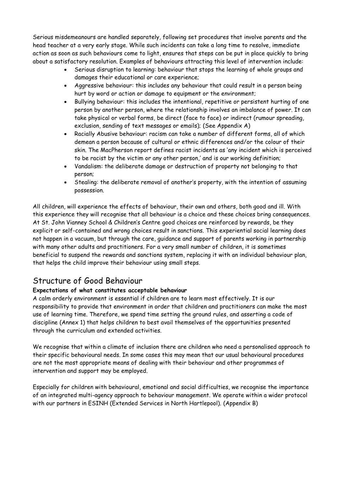Serious misdemeanours are handled separately, following set procedures that involve parents and the head teacher at a very early stage. While such incidents can take a long time to resolve, immediate action as soon as such behaviours come to light, ensures that steps can be put in place quickly to bring about a satisfactory resolution. Examples of behaviours attracting this level of intervention include:

- Serious disruption to learning: behaviour that stops the learning of whole groups and damages their educational or care experience;
- Aggressive behaviour: this includes any behaviour that could result in a person being hurt by word or action or damage to equipment or the environment;
- Bullying behaviour: this includes the intentional, repetitive or persistent hurting of one person by another person, where the relationship involves an imbalance of power. It can take physical or verbal forms, be direct (face to face) or indirect (rumour spreading, exclusion, sending of text messages or emails); (See Appendix A)
- Racially Abusive behaviour: racism can take a number of different forms, all of which demean a person because of cultural or ethnic differences and/or the colour of their skin. The MacPherson report defines racist incidents as 'any incident which is perceived to be racist by the victim or any other person,' and is our working definition;
- Vandalism: the deliberate damage or destruction of property not belonging to that person;
- Stealing: the deliberate removal of another's property, with the intention of assuming possession.

All children, will experience the effects of behaviour, their own and others, both good and ill. With this experience they will recognise that all behaviour is a choice and these choices bring consequences. At St. John Vianney School & Children's Centre good choices are reinforced by rewards, be they explicit or self-contained and wrong choices result in sanctions. This experiential social learning does not happen in a vacuum, but through the care, guidance and support of parents working in partnership with many other adults and practitioners. For a very small number of children, it is sometimes beneficial to suspend the rewards and sanctions system, replacing it with an individual behaviour plan, that helps the child improve their behaviour using small steps.

## Structure of Good Behaviour

#### **Expectations of what constitutes acceptable behaviour**

A calm orderly environment is essential if children are to learn most effectively. It is our responsibility to provide that environment in order that children and practitioners can make the most use of learning time. Therefore, we spend time setting the ground rules, and asserting a code of discipline (Annex 1) that helps children to best avail themselves of the opportunities presented through the curriculum and extended activities.

We recognise that within a climate of inclusion there are children who need a personalised approach to their specific behavioural needs. In some cases this may mean that our usual behavioural procedures are not the most appropriate means of dealing with their behaviour and other programmes of intervention and support may be employed.

Especially for children with behavioural, emotional and social difficulties, we recognise the importance of an integrated multi-agency approach to behaviour management. We operate within a wider protocol with our partners in ESINH (Extended Services in North Hartlepool). (Appendix B)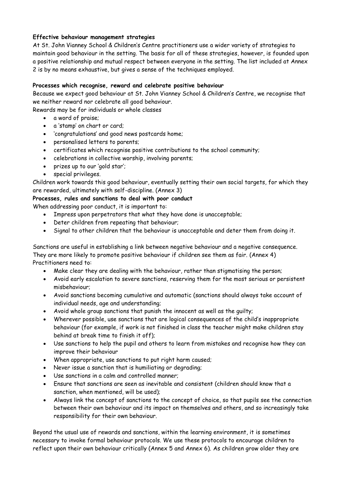#### **Effective behaviour management strategies**

At St. John Vianney School & Children's Centre practitioners use a wider variety of strategies to maintain good behaviour in the setting. The basis for all of these strategies, however, is founded upon a positive relationship and mutual respect between everyone in the setting. The list included at Annex 2 is by no means exhaustive, but gives a sense of the techniques employed.

#### **Processes which recognise, reward and celebrate positive behaviour**

Because we expect good behaviour at St. John Vianney School & Children's Centre, we recognise that we neither reward nor celebrate all good behaviour.

Rewards may be for individuals or whole classes

- a word of praise;
- a 'stamp' on chart or card;
- 'congratulations' and good news postcards home;
- personalised letters to parents;
- certificates which recognise positive contributions to the school community;
- celebrations in collective worship, involving parents;
- prizes up to our 'gold star';
- special privileges.

Children work towards this good behaviour, eventually setting their own social targets, for which they are rewarded, ultimately with self-discipline. (Annex 3)

#### **Processes, rules and sanctions to deal with poor conduct**

When addressing poor conduct, it is important to:

- Impress upon perpetrators that what they have done is unacceptable;
- Deter children from repeating that behaviour;
- Signal to other children that the behaviour is unacceptable and deter them from doing it.

Sanctions are useful in establishing a link between negative behaviour and a negative consequence. They are more likely to promote positive behaviour if children see them as fair. (Annex 4) Practitioners need to:

- Make clear they are dealing with the behaviour, rather than stigmatising the person;
- Avoid early escalation to severe sanctions, reserving them for the most serious or persistent misbehaviour;
- Avoid sanctions becoming cumulative and automatic (sanctions should always take account of individual needs, age and understanding;
- Avoid whole group sanctions that punish the innocent as well as the guilty;
- Wherever possible, use sanctions that are logical consequences of the child's inappropriate behaviour (for example, if work is not finished in class the teacher might make children stay behind at break time to finish it off);
- Use sanctions to help the pupil and others to learn from mistakes and recognise how they can improve their behaviour
- When appropriate, use sanctions to put right harm caused;
- Never issue a sanction that is humiliating or degrading;
- Use sanctions in a calm and controlled manner:
- Ensure that sanctions are seen as inevitable and consistent (children should know that a sanction, when mentioned, will be used);
- Always link the concept of sanctions to the concept of choice, so that pupils see the connection between their own behaviour and its impact on themselves and others, and so increasingly take responsibility for their own behaviour.

Beyond the usual use of rewards and sanctions, within the learning environment, it is sometimes necessary to invoke formal behaviour protocols. We use these protocols to encourage children to reflect upon their own behaviour critically (Annex 5 and Annex 6). As children grow older they are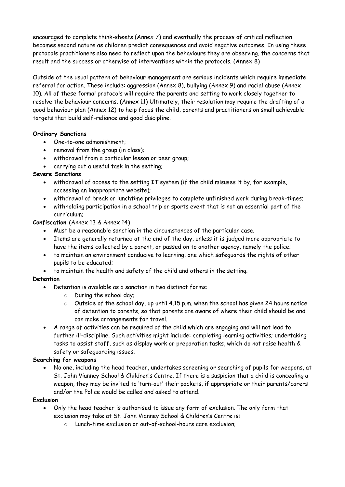encouraged to complete think-sheets (Annex 7) and eventually the process of critical reflection becomes second nature as children predict consequences and avoid negative outcomes. In using these protocols practitioners also need to reflect upon the behaviours they are observing, the concerns that result and the success or otherwise of interventions within the protocols. (Annex 8)

Outside of the usual pattern of behaviour management are serious incidents which require immediate referral for action. These include: aggression (Annex 8), bullying (Annex 9) and racial abuse (Annex 10). All of these formal protocols will require the parents and setting to work closely together to resolve the behaviour concerns. (Annex 11) Ultimately, their resolution may require the drafting of a good behaviour plan (Annex 12) to help focus the child, parents and practitioners on small achievable targets that build self-reliance and good discipline.

#### **Ordinary Sanctions**

- One-to-one admonishment;
- removal from the group (in class);
- withdrawal from a particular lesson or peer group;
- carrying out a useful task in the setting;

#### **Severe Sanctions**

- withdrawal of access to the setting IT system (if the child misuses it by, for example, accessing an inappropriate website);
- withdrawal of break or lunchtime privileges to complete unfinished work during break-times;
- withholding participation in a school trip or sports event that is not an essential part of the curriculum;

#### **Confiscation** (Annex 13 & Annex 14)

- Must be a reasonable sanction in the circumstances of the particular case.
- Items are generally returned at the end of the day, unless it is judged more appropriate to have the items collected by a parent, or passed on to another agency, namely the police;
- to maintain an environment conducive to learning, one which safeguards the rights of other pupils to be educated;
- to maintain the health and safety of the child and others in the setting.

#### **Detention**

- Detention is available as a sanction in two distinct forms:
	- o During the school day;
	- o Outside of the school day, up until 4.15 p.m. when the school has given 24 hours notice of detention to parents, so that parents are aware of where their child should be and can make arrangements for travel.
- A range of activities can be required of the child which are engaging and will not lead to further ill-discipline. Such activities might include: completing learning activities; undertaking tasks to assist staff, such as display work or preparation tasks, which do not raise health & safety or safeguarding issues.

#### **Searching for weapons**

• No one, including the head teacher, undertakes screening or searching of pupils for weapons, at St. John Vianney School & Children's Centre. If there is a suspicion that a child is concealing a weapon, they may be invited to 'turn-out' their pockets, if appropriate or their parents/carers and/or the Police would be called and asked to attend.

#### **Exclusion**

- Only the head teacher is authorised to issue any form of exclusion. The only form that exclusion may take at St. John Vianney School & Children's Centre is:
	- o Lunch-time exclusion or out-of-school-hours care exclusion;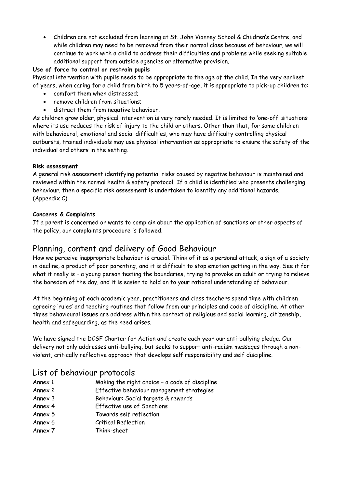• Children are not excluded from learning at St. John Vianney School & Children's Centre, and while children may need to be removed from their normal class because of behaviour, we will continue to work with a child to address their difficulties and problems while seeking suitable additional support from outside agencies or alternative provision.

#### **Use of force to control or restrain pupils**

Physical intervention with pupils needs to be appropriate to the age of the child. In the very earliest of years, when caring for a child from birth to 5 years-of-age, it is appropriate to pick-up children to:

- comfort them when distressed;
- remove children from situations;
- distract them from negative behaviour.

As children grow older, physical intervention is very rarely needed. It is limited to 'one-off' situations where its use reduces the risk of injury to the child or others. Other than that, for some children with behavioural, emotional and social difficulties, who may have difficulty controlling physical outbursts, trained individuals may use physical intervention as appropriate to ensure the safety of the individual and others in the setting.

#### **Risk assessment**

A general risk assessment identifying potential risks caused by negative behaviour is maintained and reviewed within the normal health & safety protocol. If a child is identified who presents challenging behaviour, then a specific risk assessment is undertaken to identify any additional hazards. (Appendix C)

#### **Concerns & Complaints**

If a parent is concerned or wants to complain about the application of sanctions or other aspects of the policy, our complaints procedure is followed.

## Planning, content and delivery of Good Behaviour

How we perceive inappropriate behaviour is crucial. Think of it as a personal attack, a sign of a society in decline, a product of poor parenting, and it is difficult to stop emotion getting in the way. See it for what it really is – a young person testing the boundaries, trying to provoke an adult or trying to relieve the boredom of the day, and it is easier to hold on to your rational understanding of behaviour.

At the beginning of each academic year, practitioners and class teachers spend time with children agreeing 'rules' and teaching routines that follow from our principles and code of discipline. At other times behavioural issues are address within the context of religious and social learning, citizenship, health and safeguarding, as the need arises.

We have signed the DCSF Charter for Action and create each year our anti-bullying pledge. Our delivery not only addresses anti-bullying, but seeks to support anti-racism messages through a nonviolent, critically reflective approach that develops self responsibility and self discipline.

## List of behaviour protocols

- Annex 1 Making the right choice a code of discipline
- Annex 2 Effective behaviour management strategies
- Annex 3 Behaviour: Social targets & rewards
- Annex 4 Effective use of Sanctions
- Annex 5 Towards self reflection
- Annex 6 Critical Reflection
- Annex 7 Think-sheet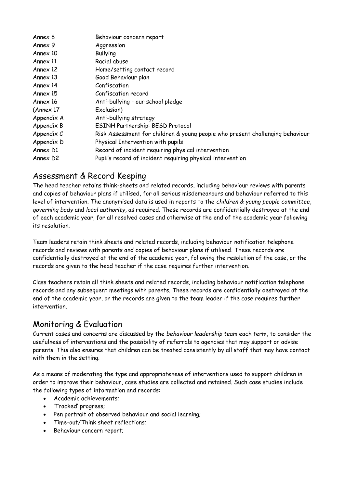| Annex 8    | Behaviour concern report                                                      |
|------------|-------------------------------------------------------------------------------|
| Annex 9    | Aggression                                                                    |
| Annex 10   | <b>Bullying</b>                                                               |
| Annex 11   | Racial abuse                                                                  |
| Annex 12   | Home/setting contact record                                                   |
| Annex 13   | Good Behaviour plan                                                           |
| Annex 14   | Confiscation                                                                  |
| Annex 15   | Confiscation record                                                           |
| Annex 16   | Anti-bullying - our school pledge                                             |
| (Annex 17) | Exclusion)                                                                    |
| Appendix A | Anti-bullying strategy                                                        |
| Appendix B | ESINH Partnership: BESD Protocol                                              |
| Appendix C | Risk Assessment for children & young people who present challenging behaviour |
| Appendix D | Physical Intervention with pupils                                             |
| Annex D1   | Record of incident requiring physical intervention                            |
| Annex D2   | Pupil's record of incident requiring physical intervention                    |

## Assessment & Record Keeping

The head teacher retains think-sheets and related records, including behaviour reviews with parents and copies of behaviour plans if utilised, for all serious misdemeanours and behaviour referred to this level of intervention. The anonymised data is used in reports to the *children & young people committee*, *governing body* and *local authority*, as required. These records are confidentially destroyed at the end of each academic year, for all resolved cases and otherwise at the end of the academic year following its resolution.

Team leaders retain think sheets and related records, including behaviour notification telephone records and reviews with parents and copies of behaviour plans if utilised. These records are confidentially destroyed at the end of the academic year, following the resolution of the case, or the records are given to the head teacher if the case requires further intervention.

Class teachers retain all think sheets and related records, including behaviour notification telephone records and any subsequent meetings with parents. These records are confidentially destroyed at the end of the academic year, or the records are given to the team leader if the case requires further intervention.

# Monitoring & Evaluation

Current cases and concerns are discussed by the *behaviour leadership team* each term, to consider the usefulness of interventions and the possibility of referrals to agencies that may support or advise parents. This also ensures that children can be treated consistently by all staff that may have contact with them in the setting.

As a means of moderating the type and appropriateness of interventions used to support children in order to improve their behaviour, case studies are collected and retained. Such case studies include the following types of information and records:

- Academic achievements;
- 'Tracked' progress;
- Pen portrait of observed behaviour and social learning;
- Time-out/Think sheet reflections;
- Behaviour concern report;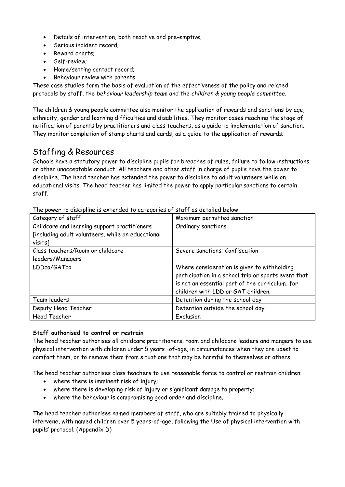- Details of intervention, both reactive and pre-emptive;
- Serious incident record;
- Reward charts;
- Self-review;
- Home/setting contact record;
- Behaviour review with parents

These case studies form the basis of evaluation of the effectiveness of the policy and related protocols by staff, the *behaviour leadership team* and the *children & young people committee*.

The children & young people committee also monitor the application of rewards and sanctions by age, ethnicity, gender and learning difficulties and disabilities. They monitor cases reaching the stage of notification of parents by practitioners and class teachers, as a guide to implementation of sanction. They monitor completion of stamp charts and cards, as a guide to the application of rewards.

## Staffing & Resources

Schools have a statutory power to discipline pupils for breaches of rules, failure to follow instructions or other unacceptable conduct. All teachers and other staff in charge of pupils have the power to discipline. The head teacher has extended the power to discipline to adult volunteers while on educational visits. The head teacher has limited the power to apply particular sanctions to certain staff.

| Category of staff                                 | Maximum permitted sanction                          |  |
|---------------------------------------------------|-----------------------------------------------------|--|
| Childcare and learning support practitioners      | Ordinary sanctions                                  |  |
| [including adult volunteers, while on educational |                                                     |  |
| visits]                                           |                                                     |  |
| Class teachers/Room or childcare                  | Severe sanctions; Confiscation                      |  |
| leaders/Managers                                  |                                                     |  |
| LDDco/GATco                                       | Where consideration is given to withholding         |  |
|                                                   | participation in a school trip or sports event that |  |
|                                                   | is not an essential part of the curriculum, for     |  |
|                                                   | children with LDD or GAT children.                  |  |
| Team leaders                                      | Detention during the school day                     |  |
| Deputy Head Teacher                               | Detention outside the school day                    |  |
| <b>Head Teacher</b>                               | Exclusion                                           |  |

The power to discipline is extended to categories of staff as detailed below:

#### **Staff authorised to control or restrain**

The head teacher authorises all childcare practitioners, room and childcare leaders and mangers to use physical intervention with children under 5 years –of-age, in circumstances when they are upset to comfort them, or to remove them from situations that may be harmful to themselves or others.

The head teacher authorises class teachers to use reasonable force to control or restrain children:

- where there is imminent risk of injury;
- where there is developing risk of injury or significant damage to property;
- where the behaviour is compromising good order and discipline.

The head teacher authorises named members of staff, who are suitably trained to physically intervene, with named children over 5 years-of-age, following the Use of physical intervention with pupils' protocol. (Appendix D)